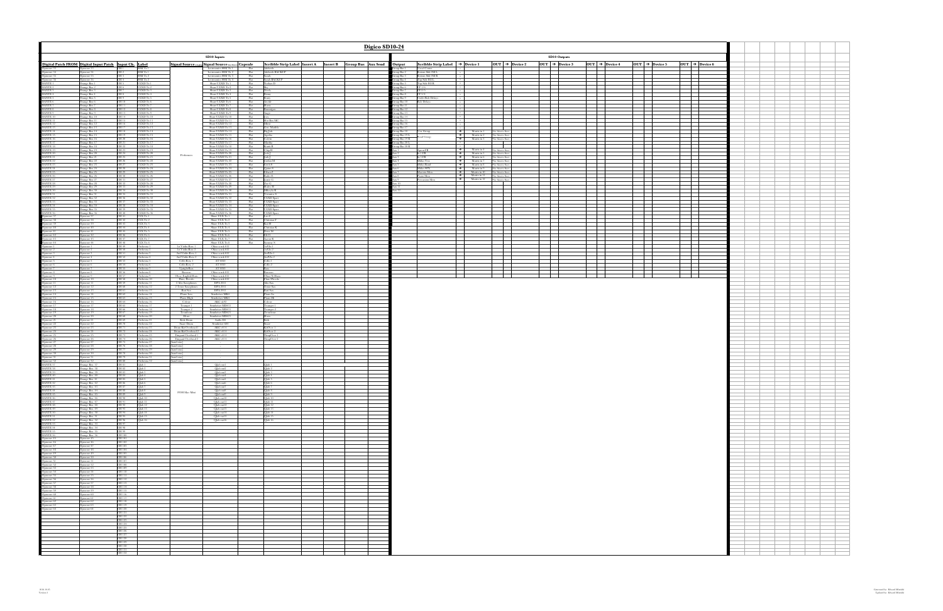| Digico SD10-24                                                                                                                                                                                                                                                                                                                                                                                                                            |                                                 |                                                   |                                                                                          |                                                                                                                                                                                  |                                                                         |                                                                                |                                                                                                                      |  |                                                    |                                                                                                                         |                                                                                                                                                                                                                                                                                                                                                                                                                                                                                                                                                                                  |                                                               |    |                               |        |        |  |  |  |  |
|-------------------------------------------------------------------------------------------------------------------------------------------------------------------------------------------------------------------------------------------------------------------------------------------------------------------------------------------------------------------------------------------------------------------------------------------|-------------------------------------------------|---------------------------------------------------|------------------------------------------------------------------------------------------|----------------------------------------------------------------------------------------------------------------------------------------------------------------------------------|-------------------------------------------------------------------------|--------------------------------------------------------------------------------|----------------------------------------------------------------------------------------------------------------------|--|----------------------------------------------------|-------------------------------------------------------------------------------------------------------------------------|----------------------------------------------------------------------------------------------------------------------------------------------------------------------------------------------------------------------------------------------------------------------------------------------------------------------------------------------------------------------------------------------------------------------------------------------------------------------------------------------------------------------------------------------------------------------------------|---------------------------------------------------------------|----|-------------------------------|--------|--------|--|--|--|--|
|                                                                                                                                                                                                                                                                                                                                                                                                                                           |                                                 |                                                   |                                                                                          |                                                                                                                                                                                  | <b>SD10 Inputs</b>                                                      |                                                                                |                                                                                                                      |  | SD10 Outputs                                       |                                                                                                                         |                                                                                                                                                                                                                                                                                                                                                                                                                                                                                                                                                                                  |                                                               |    |                               |        |        |  |  |  |  |
| Scribble Strip Label   Insert A   Insert B   Group Bus   Aux Send<br>Signal Source (enging) Signal Source (hardware Capsule<br>Lectrosonics SSM Tx 1<br>Flat<br>Adelaide                                                                                                                                                                                                                                                                  |                                                 |                                                   |                                                                                          |                                                                                                                                                                                  |                                                                         |                                                                                |                                                                                                                      |  |                                                    | Scribble Strip Label $\rightarrow$ Device 1<br>Vocal Center                                                             | $OUT \rightarrow Due to 2$                                                                                                                                                                                                                                                                                                                                                                                                                                                                                                                                                       |                                                               |    |                               |        |        |  |  |  |  |
|                                                                                                                                                                                                                                                                                                                                                                                                                                           |                                                 |                                                   |                                                                                          |                                                                                                                                                                                  | Lectrosonics SSM Tx 2<br>Lectrosonics SSM Tx 3<br>Lectrosonics SSM Tx 4 | Flat<br>Flat                                                                   | Adelaide BACKUP<br>Sarah<br>Sarah BACKUP                                                                             |  | iroup Bus 1<br>Froup Bus 2<br>Froup Bus 3          | Bottom Side Fill I.                                                                                                     |                                                                                                                                                                                                                                                                                                                                                                                                                                                                                                                                                                                  |                                                               |    | $+$                           |        |        |  |  |  |  |
|                                                                                                                                                                                                                                                                                                                                                                                                                                           |                                                 |                                                   | ULXD Tx 1                                                                                |                                                                                                                                                                                  | Shure ULXD Tx 1                                                         | Flat<br>Flat                                                                   | Nathan D                                                                                                             |  | iroup Bus 4<br>iroup Bus 5                         | Bottom Side Fill R<br>Top Side Fill L<br>Top Side Fill R<br>Top Side Fill R<br><b>THE</b>                               |                                                                                                                                                                                                                                                                                                                                                                                                                                                                                                                                                                                  |                                                               |    |                               |        |        |  |  |  |  |
|                                                                                                                                                                                                                                                                                                                                                                                                                                           |                                                 |                                                   | ULXD Tx 2<br>ULXD Tx 3<br>ULXD Tx 4                                                      |                                                                                                                                                                                  | Shure ULXD Tx 2<br>Shure ULXD Tx 3<br>Shure ULXD Tx 4                   | Flat<br>Flat<br>Flat                                                           | Benny                                                                                                                |  | iroup Bus 6<br>iroup Bus 7<br>iroup Bus 8          | FF 1/6<br>┌╌│<br>FF 2/5<br>FF 3/4                                                                                       |                                                                                                                                                                                                                                                                                                                                                                                                                                                                                                                                                                                  |                                                               |    | $\overline{\phantom{0}}$      |        |        |  |  |  |  |
|                                                                                                                                                                                                                                                                                                                                                                                                                                           |                                                 |                                                   | ULXD Tx 5<br>ULXD Tx 6                                                                   |                                                                                                                                                                                  | Shure ULXD Tx 5<br>Shure ULXD Tx 6                                      | Flat<br>Flat                                                                   | Arvide                                                                                                               |  | iroup Bus 9<br>Froup Bus 10                        | Under Balc Delays<br><b>Balc Delays</b>                                                                                 |                                                                                                                                                                                                                                                                                                                                                                                                                                                                                                                                                                                  |                                                               |    | $\pm$                         |        |        |  |  |  |  |
|                                                                                                                                                                                                                                                                                                                                                                                                                                           |                                                 |                                                   | ULXD Tx 7<br>$\begin{array}{c} \rm ULXD\;Tx\;8 \\ \rm ULXD\;Tx\;9 \end{array}$           |                                                                                                                                                                                  | Shure ULXD Tx 7<br>Shure ULXD Tx 8<br>Shure ULXD Tx 9                   | Flat<br>$\begin{tabular}{c} \bf Flat\\ \overline \text{Flat} \\ \end{tabular}$ | Harry<br>Brannigan                                                                                                   |  | Froup Bus 11<br>Froup Bus 12<br>iroup Bus 13       | H                                                                                                                       |                                                                                                                                                                                                                                                                                                                                                                                                                                                                                                                                                                                  |                                                               |    | E                             |        |        |  |  |  |  |
|                                                                                                                                                                                                                                                                                                                                                                                                                                           |                                                 |                                                   | ULXD Tx $10$<br>ULXD Tx 11                                                               |                                                                                                                                                                                  | Shure ULXD Tx 10<br>Shure ULXD Tx 11                                    | Flat<br>Flat                                                                   | Angie<br>Joey<br>Hot Box MC                                                                                          |  | roup Bus 14<br>Froup Bus 15                        |                                                                                                                         |                                                                                                                                                                                                                                                                                                                                                                                                                                                                                                                                                                                  | $\overline{\phantom{a}}$                                      |    | $\equiv$                      | $\sim$ | $\sim$ |  |  |  |  |
|                                                                                                                                                                                                                                                                                                                                                                                                                                           |                                                 |                                                   | ULXD Tx 12<br>$\frac{\text{ULXD Tx 13}}{\text{ULXD Tx 14}}$                              |                                                                                                                                                                                  | Shure ULXD Tx 12<br>Shure ULXD Tx 13<br>Shure ULXD Tx 14                | Flat<br>$\begin{tabular}{c} \bf Flat\\ \overline \text{Flat} \\ \end{tabular}$ | Mimi<br>Gen. Matilda<br>Big Jule                                                                                     |  | iroup Bus 16<br>Group Bus 17                       |                                                                                                                         |                                                                                                                                                                                                                                                                                                                                                                                                                                                                                                                                                                                  |                                                               | —— | $\Box$                        |        |        |  |  |  |  |
|                                                                                                                                                                                                                                                                                                                                                                                                                                           |                                                 |                                                   | $\rm UIXD\,Tx$ 15<br>ULXD Tx 16                                                          |                                                                                                                                                                                  | Shure ULXD Tx 15<br>Shure ULXD Tx 16                                    | Flat<br>Flat                                                                   | Agatha                                                                                                               |  | iroup Bus 18<br>Group Bus 19 L                     | Vox Group<br>Band Group                                                                                                 | $\begin{tabular}{l c c c} \hline \textbf{\textcolor{blue}{\bullet}} & & & & & & \\ \hline \textbf{\textcolor{blue}{\bullet}} & & & & & & \\ \hline \textbf{\textcolor{blue}{\bullet}} & & & & & & \\ \hline \textbf{\textcolor{blue}{\bullet}} & & & & & & \\ \hline \textbf{\textcolor{blue}{\bullet}} & & & & & & \\ \hline \textbf{\textcolor{blue}{\bullet}} & & & & & & \\ \hline \textbf{\textcolor{blue}{\bullet}} & & & & & & \\ \hline \textbf{\textcolor{blue}{\bullet}} & & & & & & \\ \hline \textbf{\textcolor{blue}{\bullet}} & & & & & & \\ \hline \textbf{\text$ |                                                               |    | $\pm$                         |        |        |  |  |  |  |
|                                                                                                                                                                                                                                                                                                                                                                                                                                           |                                                 |                                                   | ULXD Tx 17<br>ULXD Tx 18                                                                 |                                                                                                                                                                                  | Shure ULXD Tx 17<br>Shure ULXD Tx 18                                    | Flat<br>Flat                                                                   | Calvin<br>Martha<br>Kurtis B                                                                                         |  | Group Bus 19 R<br>Group Bus 20 L<br>Group Bus 20 R | $\mathbf{I}$                                                                                                            |                                                                                                                                                                                                                                                                                                                                                                                                                                                                                                                                                                                  | $\overline{\phantom{a}}$                                      |    |                               |        |        |  |  |  |  |
|                                                                                                                                                                                                                                                                                                                                                                                                                                           |                                                 |                                                   | ULXD Tx 19<br>ULXD Tx $20$                                                               | Performers                                                                                                                                                                       | Shure ULXD Tx 19<br>Shure ULXD Tx 20                                    | Flat<br>Flat                                                                   | Chip H<br>Jack J<br>Josh J                                                                                           |  |                                                    | Apron FB<br>In 1 FB                                                                                                     | $\begin{array}{c}\n\rightarrow \text{Matrix in 4} \\ \rightarrow \text{Matrix in 5}\n\end{array}$                                                                                                                                                                                                                                                                                                                                                                                                                                                                                | <sup>*</sup> See Matrix Sheet<br><sup>#See</sup> Matrix Sheet |    | $\pm$                         |        |        |  |  |  |  |
|                                                                                                                                                                                                                                                                                                                                                                                                                                           |                                                 |                                                   | ULXD Tx 21<br>ULXD Tx 22<br>ULXD Tx 23                                                   |                                                                                                                                                                                  | Shure ULXD Tx 21<br>Shure ULXD Tx 22<br>Shure ULXD Tx 23                | Flat<br>Flat<br>Flat                                                           | Jordan M<br>Erich S                                                                                                  |  |                                                    | In 3 FB<br>Midas Vox                                                                                                    | $\rightarrow$ Matrix in 6 See Matrix Sheet<br>$\begin{tabular}{ c c c } \hline \quad & \quad \text{Matrix in 7} \qquad \quad \textcolor{red}{\text{``See Matrix Sheet}} \end{tabular}$<br>$\begin{tabular}{ll} \hline \color{red} \blacktriangleright & \text{Matrix in 8} \\ \hline \end{tabular} \begin{tabular}{ll} \textbf{++} & \textbf{``See Matrix Sheet} \\ \end{tabular}$                                                                                                                                                                                               |                                                               |    | $\overline{\phantom{0}}$      |        |        |  |  |  |  |
|                                                                                                                                                                                                                                                                                                                                                                                                                                           |                                                 |                                                   | $\begin{array}{c} \rm{ULXD\,Tx\,24}\\ \rm{ULXD\,Tx\,25} \end{array}$                     |                                                                                                                                                                                  | Shure ULXD Tx 24<br>Shure ULXD Tx 25                                    | Flat<br>Flat                                                                   | Quinn S<br>Ethan Z                                                                                                   |  |                                                    | $\begin{array}{ l } \hline \textbf{Midas Band} \\ \hline \textbf{Midas SFX} \\ \hline \textbf{Maestro Mon} \end{array}$ | $\begin{tabular}{c c} \hline \color{red} \blacklozenge & Matrix in 9 \\ \hline \color{red} \blacklozenge & Matrix in 10 \\ \hline \color{red} \blacklozenge & Matrix in 10 \\ \hline \end{tabular} \begin{tabular}{c} \textbf{%} & \textbf{Matrix Sheet} \\ \textbf{Matrix} & 10 \\ \hline \end{tabular}$                                                                                                                                                                                                                                                                        |                                                               |    | $\overline{\phantom{a}}$      |        |        |  |  |  |  |
|                                                                                                                                                                                                                                                                                                                                                                                                                                           |                                                 |                                                   | ULXD Tx 26<br>ULXD Tx 27                                                                 |                                                                                                                                                                                  | Shure ULXD Tx 26<br>Shure ULXD Tx 27                                    | Flat<br>Flat                                                                   | <b>Bailee E</b><br>Jamie G                                                                                           |  |                                                    | Piano Mon<br>Percussion Mon                                                                                             | $\rightarrow$ Matrix in 11 $\rightarrow$ See Matrix Sheet<br>$\rightarrow$ Matrix in 12                                                                                                                                                                                                                                                                                                                                                                                                                                                                                          | <sup>#</sup> See Matrix Sheet                                 |    | $\pm$                         |        |        |  |  |  |  |
|                                                                                                                                                                                                                                                                                                                                                                                                                                           |                                                 |                                                   | ULXD Tx 28<br>ULXD Tx 29<br>ULXD Tx 30                                                   |                                                                                                                                                                                  | Shure ULXD Tx 28<br>Shure ULXD Tx 29<br>Shure ULXD Tx 30                | ${\rm Flat}\atop {\rm Flat}$<br>Flat                                           | $\begin{tabular}{ c c c} Zoe & G\\ \hline \textbf{Haley H}\\ \textbf{Mikayla R}\\ \textbf{Veronica S} \end{tabular}$ |  | $\times 10^{-7}$                                   |                                                                                                                         |                                                                                                                                                                                                                                                                                                                                                                                                                                                                                                                                                                                  |                                                               |    | $\overline{\phantom{a}}$      |        |        |  |  |  |  |
|                                                                                                                                                                                                                                                                                                                                                                                                                                           |                                                 |                                                   | ULXD Tx 31<br>ULXD Tx 32                                                                 |                                                                                                                                                                                  | Shure ULXD Tx 31<br>Shure ULXD Tx 32                                    | Flat<br>Flat                                                                   | <b>ULXD</b> Spare                                                                                                    |  |                                                    |                                                                                                                         |                                                                                                                                                                                                                                                                                                                                                                                                                                                                                                                                                                                  |                                                               |    | $\pm$                         |        |        |  |  |  |  |
|                                                                                                                                                                                                                                                                                                                                                                                                                                           |                                                 |                                                   | $\begin{array}{c} \rm{ULXD\,Tx\,33}\\ \rm{ULXD\,Tx\,34} \end{array}$<br>ULXD Tx 35       |                                                                                                                                                                                  | Shure ULXD Tx 33<br>Shure ULXD Tx 34<br>Shure ULXD Tx 35                | $\frac{\text{Flat}}{\text{Flat}}$<br>Flat                                      | ULXD Spare<br>ULXD Spare<br>ULXD Spare                                                                               |  |                                                    |                                                                                                                         |                                                                                                                                                                                                                                                                                                                                                                                                                                                                                                                                                                                  |                                                               |    | E                             |        |        |  |  |  |  |
|                                                                                                                                                                                                                                                                                                                                                                                                                                           |                                                 |                                                   | ULXD Tx 36<br>$ULX$ $Tx$ $1$                                                             |                                                                                                                                                                                  | Shure ULXD Tx 36<br>Shure ULX Tx 1                                      | Flat<br>Flat                                                                   | ULXD Spare<br>Leo C                                                                                                  |  |                                                    |                                                                                                                         |                                                                                                                                                                                                                                                                                                                                                                                                                                                                                                                                                                                  | $\overline{\phantom{0}}$                                      | —— | $\equiv$                      | $\sim$ | $\sim$ |  |  |  |  |
|                                                                                                                                                                                                                                                                                                                                                                                                                                           |                                                 |                                                   |                                                                                          |                                                                                                                                                                                  | Shure ULX Tx 2<br>Shure ULX Tx 3                                        | $\begin{tabular}{c} \bf Flat\\ \overline \text{Flat} \\ \end{tabular}$         | $\begin{array}{c} \text{Christian F} \\ \text{Kai H} \end{array}$                                                    |  |                                                    |                                                                                                                         |                                                                                                                                                                                                                                                                                                                                                                                                                                                                                                                                                                                  |                                                               |    |                               |        |        |  |  |  |  |
|                                                                                                                                                                                                                                                                                                                                                                                                                                           |                                                 |                                                   |                                                                                          |                                                                                                                                                                                  | Shure ULX Tx 4<br>Shure ULX Tx 5<br>Shure ULX Tx 6                      | Flat<br>Flat<br>Flat                                                           | Christian K<br>Drew M<br>Eli O                                                                                       |  |                                                    |                                                                                                                         |                                                                                                                                                                                                                                                                                                                                                                                                                                                                                                                                                                                  |                                                               |    |                               |        |        |  |  |  |  |
|                                                                                                                                                                                                                                                                                                                                                                                                                                           |                                                 |                                                   |                                                                                          |                                                                                                                                                                                  | Shure ULX Tx 7<br>Shure ULX Tx 8                                        | Flat<br>Flat                                                                   | Aaron R<br>Sammy S<br>1stVln 1                                                                                       |  |                                                    |                                                                                                                         |                                                                                                                                                                                                                                                                                                                                                                                                                                                                                                                                                                                  |                                                               |    |                               |        |        |  |  |  |  |
|                                                                                                                                                                                                                                                                                                                                                                                                                                           |                                                 |                                                   | Orchestra 2                                                                              | 1st Violin Row 1<br>1st Violin Row 2                                                                                                                                             | Oktava mk 012<br>Oktava mk 012                                          |                                                                                | 1stVln 2                                                                                                             |  |                                                    |                                                                                                                         |                                                                                                                                                                                                                                                                                                                                                                                                                                                                                                                                                                                  |                                                               |    |                               |        |        |  |  |  |  |
|                                                                                                                                                                                                                                                                                                                                                                                                                                           |                                                 |                                                   | Orchestra 3<br>Orchestra 4                                                               | 2nd Violin Row 1<br>2nd Violin Row 2<br>Cello Row 1                                                                                                                              | Oktava mk 012<br>Oktava mk 012<br>AT 4050                               |                                                                                | 2ndVln 1<br>$2 \mathrm{ndV} \mathrm{ln} \, 2$                                                                        |  |                                                    |                                                                                                                         |                                                                                                                                                                                                                                                                                                                                                                                                                                                                                                                                                                                  |                                                               |    |                               |        |        |  |  |  |  |
|                                                                                                                                                                                                                                                                                                                                                                                                                                           |                                                 |                                                   | Orchestra 6                                                                              | Cello Row 2<br><b>Upright Bass</b>                                                                                                                                               | AT 4050<br>AT 4050                                                      |                                                                                | $\frac{\text{Cello 1}}{\text{Cello 2}}$<br>Bass                                                                      |  |                                                    |                                                                                                                         |                                                                                                                                                                                                                                                                                                                                                                                                                                                                                                                                                                                  |                                                               |    | $\overline{\phantom{a}}$<br>╅ |        |        |  |  |  |  |
|                                                                                                                                                                                                                                                                                                                                                                                                                                           |                                                 |                                                   | Orchestra 8<br>Orchestra 9                                                               | Bassoon<br>Oboe, English Hom<br>Flute, Piccolo                                                                                                                                   | Oktava mk 012<br>Oktava mk 012                                          |                                                                                | <b>Bassoon</b><br>Oboe/E Hom<br>Flute/Piccolo                                                                        |  |                                                    |                                                                                                                         |                                                                                                                                                                                                                                                                                                                                                                                                                                                                                                                                                                                  |                                                               |    | ╅═┪                           |        |        |  |  |  |  |
|                                                                                                                                                                                                                                                                                                                                                                                                                                           |                                                 |                                                   | Orchestra 10<br>Orchestra 11<br>Orchestra 12                                             | 2 Alto Saxophones<br>2 Tenor Saxophones                                                                                                                                          | Oktava mk 012<br>DPA 2011<br><b>DPA 2011</b>                            |                                                                                | Alto Sax<br>Tenor Sax                                                                                                |  |                                                    |                                                                                                                         |                                                                                                                                                                                                                                                                                                                                                                                                                                                                                                                                                                                  |                                                               |    |                               |        |        |  |  |  |  |
|                                                                                                                                                                                                                                                                                                                                                                                                                                           |                                                 |                                                   | Orchestra 13<br>$\frac{\rm{Orhestra\ 14}}{\rm{Orchestra\ 15}}$                           | Bari Sax<br>Piano Low<br>Piano High                                                                                                                                              | <b>DPA 2011</b><br>Sennheiser MK4                                       |                                                                                | Bari Sax<br>Piano Lo<br>Piano Hi                                                                                     |  |                                                    |                                                                                                                         |                                                                                                                                                                                                                                                                                                                                                                                                                                                                                                                                                                                  |                                                               |    |                               |        |        |  |  |  |  |
|                                                                                                                                                                                                                                                                                                                                                                                                                                           |                                                 |                                                   | Orchestra 16<br>Orchestra 17                                                             | Celeste<br>Trumpet 1                                                                                                                                                             | Sennheiser MK4<br>AKG ck92<br>Sennheiser MD431                          |                                                                                | Celeste<br>Trumpet 1                                                                                                 |  |                                                    |                                                                                                                         |                                                                                                                                                                                                                                                                                                                                                                                                                                                                                                                                                                                  |                                                               |    |                               |        |        |  |  |  |  |
|                                                                                                                                                                                                                                                                                                                                                                                                                                           |                                                 |                                                   | Orchestra 18<br>$\begin{array}{c} \text{Orchestra 19}\\ \text{Orchestra 20} \end{array}$ | Trumpet 2<br>$\fbox{Trombone} \begin{tabular}{c} \multicolumn{2}{c}{\textbf{Trombone}}\\ \multicolumn{2}{c}{\textbf{Trombone}}\\ \multicolumn{2}{c}{\textbf{Hom}} \end{tabular}$ | Sennheiser MD431<br>Sennheiser MD421                                    |                                                                                | Trumpet 2<br>Trombone<br>Hom                                                                                         |  |                                                    |                                                                                                                         |                                                                                                                                                                                                                                                                                                                                                                                                                                                                                                                                                                                  |                                                               |    |                               |        |        |  |  |  |  |
|                                                                                                                                                                                                                                                                                                                                                                                                                                           |                                                 |                                                   | Orchestra 21                                                                             | Kick Drum                                                                                                                                                                        | Sennheiser MD421<br>Audix D4                                            |                                                                                | Kick                                                                                                                 |  |                                                    |                                                                                                                         |                                                                                                                                                                                                                                                                                                                                                                                                                                                                                                                                                                                  |                                                               |    |                               |        |        |  |  |  |  |
|                                                                                                                                                                                                                                                                                                                                                                                                                                           |                                                 |                                                   | Orchestra 22<br>Orchestra 23<br>Orchestra 24                                             | Snare Drum<br>Drum Kit Overhead 1<br>Drum Kit Overhead 2                                                                                                                         | Sennheiser 604<br>AKG c414<br>AKG c414                                  |                                                                                | Snare<br>KitOver 1                                                                                                   |  |                                                    |                                                                                                                         |                                                                                                                                                                                                                                                                                                                                                                                                                                                                                                                                                                                  |                                                               |    |                               |        |        |  |  |  |  |
|                                                                                                                                                                                                                                                                                                                                                                                                                                           |                                                 |                                                   | Orchestra 25<br>Orchestra 26                                                             | Timpani Overhead 1<br>Timpani Overhead 2                                                                                                                                         | AKGc414<br>AKG c414                                                     |                                                                                | KitOver 2<br>TimpOver 1<br>TimpOver 2                                                                                |  |                                                    |                                                                                                                         |                                                                                                                                                                                                                                                                                                                                                                                                                                                                                                                                                                                  |                                                               |    |                               |        |        |  |  |  |  |
|                                                                                                                                                                                                                                                                                                                                                                                                                                           |                                                 |                                                   | Orchestra 27<br>Orchestra 28<br>Orchestra 29                                             | [band xtra]<br>band xtra]                                                                                                                                                        |                                                                         |                                                                                |                                                                                                                      |  |                                                    |                                                                                                                         |                                                                                                                                                                                                                                                                                                                                                                                                                                                                                                                                                                                  |                                                               |    |                               |        |        |  |  |  |  |
|                                                                                                                                                                                                                                                                                                                                                                                                                                           |                                                 |                                                   | Orchestra $30\,$<br>Orchestra 31                                                         | [band xtra]<br>band xtra]<br>[band xtra]                                                                                                                                         |                                                                         |                                                                                |                                                                                                                      |  |                                                    |                                                                                                                         |                                                                                                                                                                                                                                                                                                                                                                                                                                                                                                                                                                                  |                                                               |    |                               |        |        |  |  |  |  |
|                                                                                                                                                                                                                                                                                                                                                                                                                                           |                                                 |                                                   | Orchestra 32                                                                             | band xtra]                                                                                                                                                                       | Olab outl                                                               |                                                                                | Qlab 1                                                                                                               |  |                                                    |                                                                                                                         |                                                                                                                                                                                                                                                                                                                                                                                                                                                                                                                                                                                  |                                                               |    |                               |        |        |  |  |  |  |
|                                                                                                                                                                                                                                                                                                                                                                                                                                           |                                                 |                                                   |                                                                                          |                                                                                                                                                                                  | Olab out2<br>Qlab out3<br>Qlab out4                                     |                                                                                | Olab <sub>2</sub><br>Qlab 3<br>Qlab 4                                                                                |  |                                                    |                                                                                                                         |                                                                                                                                                                                                                                                                                                                                                                                                                                                                                                                                                                                  |                                                               |    |                               |        |        |  |  |  |  |
|                                                                                                                                                                                                                                                                                                                                                                                                                                           |                                                 |                                                   |                                                                                          |                                                                                                                                                                                  | Qlab out5<br>Olab out6                                                  |                                                                                | Qlab 5<br>Qlab 6                                                                                                     |  |                                                    |                                                                                                                         |                                                                                                                                                                                                                                                                                                                                                                                                                                                                                                                                                                                  |                                                               |    |                               |        |        |  |  |  |  |
|                                                                                                                                                                                                                                                                                                                                                                                                                                           | Orange Box 44<br>Orange Box 45                  | CH 88<br>CH 89                                    | Qlab 8<br>Qlab 9                                                                         | FOH Mac Mini                                                                                                                                                                     | Qlab out8<br>Qlab out9                                                  |                                                                                | Qlab 8<br>Qlab 9                                                                                                     |  |                                                    |                                                                                                                         |                                                                                                                                                                                                                                                                                                                                                                                                                                                                                                                                                                                  |                                                               |    |                               |        |        |  |  |  |  |
| $\begin{tabular}{ c c } \hline DNNTE 44 \\ \hline DNNTE 45 \\ \hline DNNTE 46 \\ \hline DNNTE 46 \\ \hline DNNTE 47 \\ \hline DNNTE 47 \\ \hline DNNTE 48 \\ \hline DNNTE 52 \\ \hline DNNTE 52 \\ \hline DNNTE 53 \\ \hline DNNTE 54 \\ \hline DNDNTE 54 \\ \hline DDDWATE 46 \\ \hline Oppocorr 46 \\ \hline Oppocorr 47 \\ \hline Oppocorr 56 \\ \hline Oppocorr 56 \\ \hline Oppocorr 57 \\ \hline Oppocorr 58 \\ \hline Oppocorr 59$ | Orange Box 46<br>Orange Box 47                  | CH 91                                             | Olab 11                                                                                  |                                                                                                                                                                                  | Olab out10<br>Qlab out11                                                |                                                                                | Qlab 10<br>Qlab 11                                                                                                   |  |                                                    |                                                                                                                         |                                                                                                                                                                                                                                                                                                                                                                                                                                                                                                                                                                                  |                                                               |    |                               |        |        |  |  |  |  |
|                                                                                                                                                                                                                                                                                                                                                                                                                                           | Orange Box 48<br>Orange Box 49                  | CH 92<br>CH 93                                    | $\frac{\text{Qlab 12}}{\text{Qlab 13}}$                                                  |                                                                                                                                                                                  | Olab out12<br>Qlab out13                                                |                                                                                | Qlab 12<br>Qlab 13                                                                                                   |  |                                                    |                                                                                                                         |                                                                                                                                                                                                                                                                                                                                                                                                                                                                                                                                                                                  |                                                               |    |                               |        |        |  |  |  |  |
|                                                                                                                                                                                                                                                                                                                                                                                                                                           | Orange Box 50<br>Orange Box 51<br>Orange Box 52 | CH 94<br>CH 95<br>CH 96                           | Qlab 14<br>Qlab 15<br>Qlab 16                                                            |                                                                                                                                                                                  | Qlab outl4<br>Olab out15<br>Olab out16                                  |                                                                                | Qlab 14<br>Olab 15<br>Qlab 16                                                                                        |  |                                                    |                                                                                                                         |                                                                                                                                                                                                                                                                                                                                                                                                                                                                                                                                                                                  |                                                               |    |                               |        |        |  |  |  |  |
|                                                                                                                                                                                                                                                                                                                                                                                                                                           | Orange Box 53<br>Orange Box 54                  | CH 97<br>CH 98                                    |                                                                                          |                                                                                                                                                                                  |                                                                         |                                                                                |                                                                                                                      |  |                                                    |                                                                                                                         |                                                                                                                                                                                                                                                                                                                                                                                                                                                                                                                                                                                  |                                                               |    |                               |        |        |  |  |  |  |
|                                                                                                                                                                                                                                                                                                                                                                                                                                           | Orange Box 55<br>Orange Box 56                  | CH 99<br>CH 100                                   |                                                                                          |                                                                                                                                                                                  |                                                                         |                                                                                |                                                                                                                      |  |                                                    |                                                                                                                         |                                                                                                                                                                                                                                                                                                                                                                                                                                                                                                                                                                                  |                                                               |    |                               |        |        |  |  |  |  |
|                                                                                                                                                                                                                                                                                                                                                                                                                                           | Optocore 45<br>Optocore 46<br>Optocore 47       | CH 101<br>CH 102                                  |                                                                                          |                                                                                                                                                                                  |                                                                         |                                                                                |                                                                                                                      |  |                                                    |                                                                                                                         |                                                                                                                                                                                                                                                                                                                                                                                                                                                                                                                                                                                  |                                                               |    |                               |        |        |  |  |  |  |
|                                                                                                                                                                                                                                                                                                                                                                                                                                           | Optocore 48<br>Optocore 49                      | CH 103<br>CH 104<br>CH 105                        |                                                                                          |                                                                                                                                                                                  |                                                                         |                                                                                |                                                                                                                      |  |                                                    |                                                                                                                         |                                                                                                                                                                                                                                                                                                                                                                                                                                                                                                                                                                                  |                                                               |    |                               |        |        |  |  |  |  |
|                                                                                                                                                                                                                                                                                                                                                                                                                                           | Optocore 50<br>Optocore 51<br>Optocore 52       | CH 106<br>$\frac{\text{CH }107}{\text{CH }108}$   |                                                                                          |                                                                                                                                                                                  |                                                                         |                                                                                |                                                                                                                      |  |                                                    |                                                                                                                         |                                                                                                                                                                                                                                                                                                                                                                                                                                                                                                                                                                                  |                                                               |    |                               |        |        |  |  |  |  |
|                                                                                                                                                                                                                                                                                                                                                                                                                                           | Optocore 53<br>Optocore 54                      | CH 109<br>CH 110                                  |                                                                                          |                                                                                                                                                                                  |                                                                         |                                                                                |                                                                                                                      |  |                                                    |                                                                                                                         |                                                                                                                                                                                                                                                                                                                                                                                                                                                                                                                                                                                  |                                                               |    |                               |        |        |  |  |  |  |
|                                                                                                                                                                                                                                                                                                                                                                                                                                           | Optocore 55<br>Optocore 56                      | CH 111<br>CH 112<br>CH 113                        |                                                                                          |                                                                                                                                                                                  |                                                                         |                                                                                |                                                                                                                      |  |                                                    |                                                                                                                         |                                                                                                                                                                                                                                                                                                                                                                                                                                                                                                                                                                                  |                                                               |    |                               |        |        |  |  |  |  |
|                                                                                                                                                                                                                                                                                                                                                                                                                                           | Optocore 57<br>Optocore 58<br>Optocore 59       | CH 114<br>CH 115                                  |                                                                                          |                                                                                                                                                                                  |                                                                         |                                                                                |                                                                                                                      |  |                                                    |                                                                                                                         |                                                                                                                                                                                                                                                                                                                                                                                                                                                                                                                                                                                  |                                                               |    |                               |        |        |  |  |  |  |
|                                                                                                                                                                                                                                                                                                                                                                                                                                           | Optocore 60<br>Optocore 61                      | CH 116<br>$\frac{\text{CH}\ 117}{\text{CH}\ 118}$ |                                                                                          |                                                                                                                                                                                  |                                                                         |                                                                                |                                                                                                                      |  |                                                    |                                                                                                                         |                                                                                                                                                                                                                                                                                                                                                                                                                                                                                                                                                                                  |                                                               |    |                               |        |        |  |  |  |  |
|                                                                                                                                                                                                                                                                                                                                                                                                                                           | Optocore 62<br>Optocore 63                      | CH 119<br>CH 120                                  |                                                                                          |                                                                                                                                                                                  |                                                                         |                                                                                |                                                                                                                      |  |                                                    |                                                                                                                         |                                                                                                                                                                                                                                                                                                                                                                                                                                                                                                                                                                                  |                                                               |    |                               |        |        |  |  |  |  |
|                                                                                                                                                                                                                                                                                                                                                                                                                                           | Optocore 64                                     | CH 121<br>CH 122                                  |                                                                                          |                                                                                                                                                                                  |                                                                         |                                                                                |                                                                                                                      |  |                                                    |                                                                                                                         |                                                                                                                                                                                                                                                                                                                                                                                                                                                                                                                                                                                  |                                                               |    |                               |        |        |  |  |  |  |
|                                                                                                                                                                                                                                                                                                                                                                                                                                           |                                                 | CH 123<br>CH 124                                  |                                                                                          |                                                                                                                                                                                  |                                                                         |                                                                                |                                                                                                                      |  |                                                    |                                                                                                                         |                                                                                                                                                                                                                                                                                                                                                                                                                                                                                                                                                                                  |                                                               |    |                               |        |        |  |  |  |  |
|                                                                                                                                                                                                                                                                                                                                                                                                                                           |                                                 | CH 125<br>CH 126<br>CH 127                        |                                                                                          |                                                                                                                                                                                  |                                                                         |                                                                                |                                                                                                                      |  |                                                    |                                                                                                                         |                                                                                                                                                                                                                                                                                                                                                                                                                                                                                                                                                                                  |                                                               |    |                               |        |        |  |  |  |  |
|                                                                                                                                                                                                                                                                                                                                                                                                                                           |                                                 | CH 128<br>CH 129                                  |                                                                                          |                                                                                                                                                                                  |                                                                         |                                                                                |                                                                                                                      |  |                                                    |                                                                                                                         |                                                                                                                                                                                                                                                                                                                                                                                                                                                                                                                                                                                  |                                                               |    |                               |        |        |  |  |  |  |
|                                                                                                                                                                                                                                                                                                                                                                                                                                           |                                                 | CH 130<br>CH 131                                  |                                                                                          |                                                                                                                                                                                  |                                                                         |                                                                                |                                                                                                                      |  |                                                    |                                                                                                                         |                                                                                                                                                                                                                                                                                                                                                                                                                                                                                                                                                                                  |                                                               |    |                               |        |        |  |  |  |  |
|                                                                                                                                                                                                                                                                                                                                                                                                                                           |                                                 | CH 132                                            |                                                                                          |                                                                                                                                                                                  |                                                                         |                                                                                |                                                                                                                      |  |                                                    |                                                                                                                         |                                                                                                                                                                                                                                                                                                                                                                                                                                                                                                                                                                                  |                                                               |    |                               |        |        |  |  |  |  |